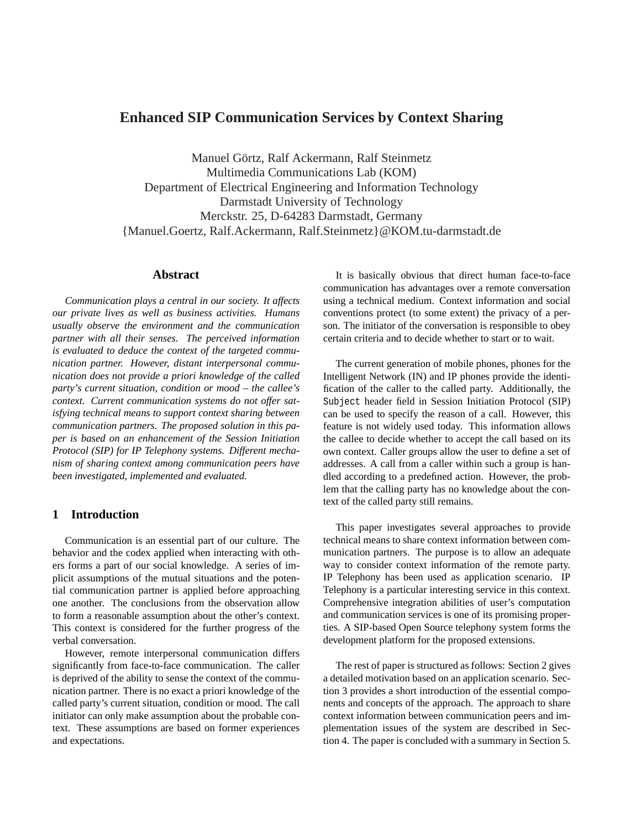# **Enhanced SIP Communication Services by Context Sharing**

Manuel Görtz, Ralf Ackermann, Ralf Steinmetz Multimedia Communications Lab (KOM) Department of Electrical Engineering and Information Technology Darmstadt University of Technology Merckstr. 25, D-64283 Darmstadt, Germany {Manuel.Goertz, Ralf.Ackermann, Ralf.Steinmetz}@KOM.tu-darmstadt.de

### **Abstract**

*Communication plays a central in our society. It affects our private lives as well as business activities. Humans usually observe the environment and the communication partner with all their senses. The perceived information is evaluated to deduce the context of the targeted communication partner. However, distant interpersonal communication does not provide a priori knowledge of the called party's current situation, condition or mood – the callee's context. Current communication systems do not offer satisfying technical means to support context sharing between communication partners. The proposed solution in this paper is based on an enhancement of the Session Initiation Protocol (SIP) for IP Telephony systems. Different mechanism of sharing context among communication peers have been investigated, implemented and evaluated.*

# **1 Introduction**

Communication is an essential part of our culture. The behavior and the codex applied when interacting with others forms a part of our social knowledge. A series of implicit assumptions of the mutual situations and the potential communication partner is applied before approaching one another. The conclusions from the observation allow to form a reasonable assumption about the other's context. This context is considered for the further progress of the verbal conversation.

However, remote interpersonal communication differs significantly from face-to-face communication. The caller is deprived of the ability to sense the context of the communication partner. There is no exact a priori knowledge of the called party's current situation, condition or mood. The call initiator can only make assumption about the probable context. These assumptions are based on former experiences and expectations.

It is basically obvious that direct human face-to-face communication has advantages over a remote conversation using a technical medium. Context information and social conventions protect (to some extent) the privacy of a person. The initiator of the conversation is responsible to obey certain criteria and to decide whether to start or to wait.

The current generation of mobile phones, phones for the Intelligent Network (IN) and IP phones provide the identification of the caller to the called party. Additionally, the Subject header field in Session Initiation Protocol (SIP) can be used to specify the reason of a call. However, this feature is not widely used today. This information allows the callee to decide whether to accept the call based on its own context. Caller groups allow the user to define a set of addresses. A call from a caller within such a group is handled according to a predefined action. However, the problem that the calling party has no knowledge about the context of the called party still remains.

This paper investigates several approaches to provide technical means to share context information between communication partners. The purpose is to allow an adequate way to consider context information of the remote party. IP Telephony has been used as application scenario. IP Telephony is a particular interesting service in this context. Comprehensive integration abilities of user's computation and communication services is one of its promising properties. A SIP-based Open Source telephony system forms the development platform for the proposed extensions.

The rest of paper is structured as follows: Section 2 gives a detailed motivation based on an application scenario. Section 3 provides a short introduction of the essential components and concepts of the approach. The approach to share context information between communication peers and implementation issues of the system are described in Section 4. The paper is concluded with a summary in Section 5.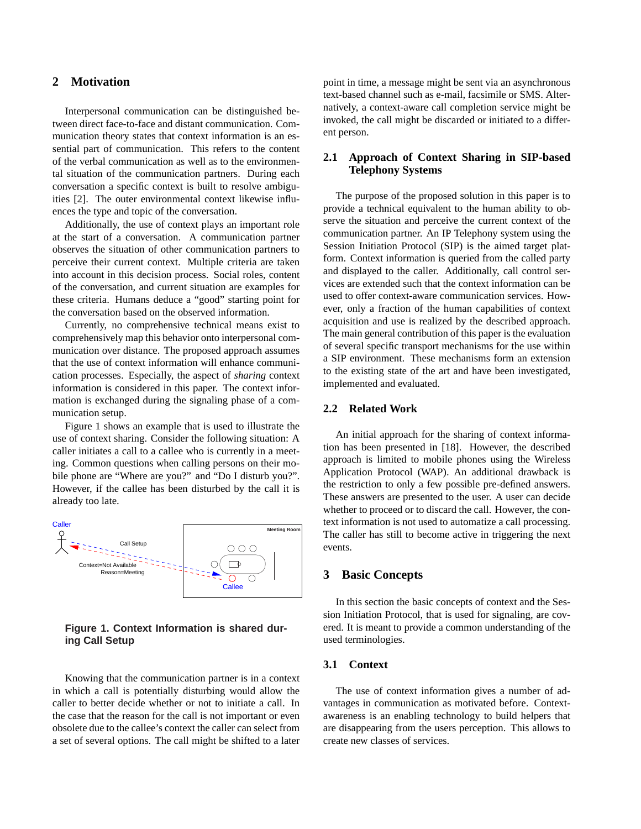# **2 Motivation**

Interpersonal communication can be distinguished between direct face-to-face and distant communication. Communication theory states that context information is an essential part of communication. This refers to the content of the verbal communication as well as to the environmental situation of the communication partners. During each conversation a specific context is built to resolve ambiguities [2]. The outer environmental context likewise influences the type and topic of the conversation.

Additionally, the use of context plays an important role at the start of a conversation. A communication partner observes the situation of other communication partners to perceive their current context. Multiple criteria are taken into account in this decision process. Social roles, content of the conversation, and current situation are examples for these criteria. Humans deduce a "good" starting point for the conversation based on the observed information.

Currently, no comprehensive technical means exist to comprehensively map this behavior onto interpersonal communication over distance. The proposed approach assumes that the use of context information will enhance communication processes. Especially, the aspect of *sharing* context information is considered in this paper. The context information is exchanged during the signaling phase of a communication setup.

Figure 1 shows an example that is used to illustrate the use of context sharing. Consider the following situation: A caller initiates a call to a callee who is currently in a meeting. Common questions when calling persons on their mobile phone are "Where are you?" and "Do I disturb you?". However, if the callee has been disturbed by the call it is already too late.



# **Figure 1. Context Information is shared during Call Setup**

Knowing that the communication partner is in a context in which a call is potentially disturbing would allow the caller to better decide whether or not to initiate a call. In the case that the reason for the call is not important or even obsolete due to the callee's context the caller can select from a set of several options. The call might be shifted to a later

point in time, a message might be sent via an asynchronous text-based channel such as e-mail, facsimile or SMS. Alternatively, a context-aware call completion service might be invoked, the call might be discarded or initiated to a different person.

## **2.1 Approach of Context Sharing in SIP-based Telephony Systems**

The purpose of the proposed solution in this paper is to provide a technical equivalent to the human ability to observe the situation and perceive the current context of the communication partner. An IP Telephony system using the Session Initiation Protocol (SIP) is the aimed target platform. Context information is queried from the called party and displayed to the caller. Additionally, call control services are extended such that the context information can be used to offer context-aware communication services. However, only a fraction of the human capabilities of context acquisition and use is realized by the described approach. The main general contribution of this paper is the evaluation of several specific transport mechanisms for the use within a SIP environment. These mechanisms form an extension to the existing state of the art and have been investigated, implemented and evaluated.

## **2.2 Related Work**

An initial approach for the sharing of context information has been presented in [18]. However, the described approach is limited to mobile phones using the Wireless Application Protocol (WAP). An additional drawback is the restriction to only a few possible pre-defined answers. These answers are presented to the user. A user can decide whether to proceed or to discard the call. However, the context information is not used to automatize a call processing. The caller has still to become active in triggering the next events.

# **3 Basic Concepts**

In this section the basic concepts of context and the Session Initiation Protocol, that is used for signaling, are covered. It is meant to provide a common understanding of the used terminologies.

### **3.1 Context**

The use of context information gives a number of advantages in communication as motivated before. Contextawareness is an enabling technology to build helpers that are disappearing from the users perception. This allows to create new classes of services.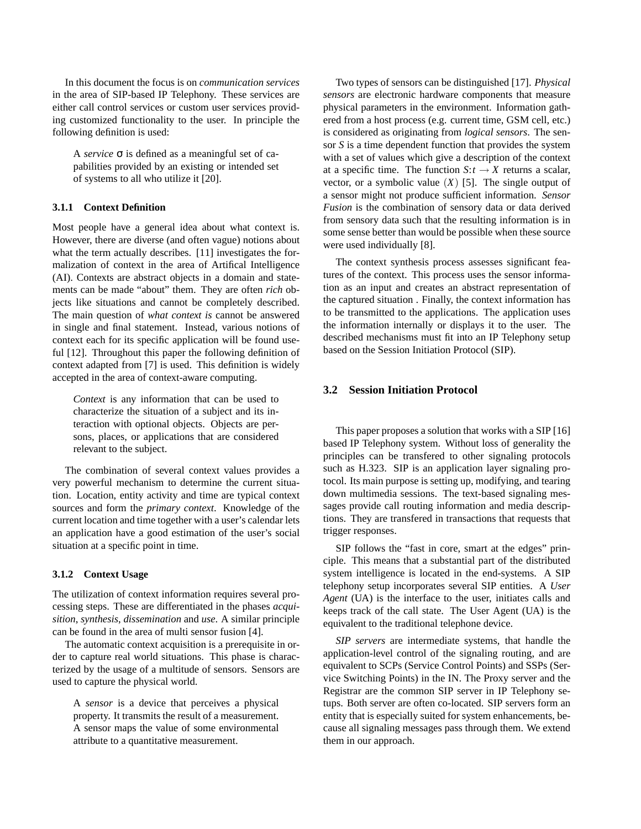In this document the focus is on *communication services* in the area of SIP-based IP Telephony. These services are either call control services or custom user services providing customized functionality to the user. In principle the following definition is used:

A *service* σ is defined as a meaningful set of capabilities provided by an existing or intended set of systems to all who utilize it [20].

### **3.1.1 Context Definition**

Most people have a general idea about what context is. However, there are diverse (and often vague) notions about what the term actually describes. [11] investigates the formalization of context in the area of Artifical Intelligence (AI). Contexts are abstract objects in a domain and statements can be made "about" them. They are often *rich* objects like situations and cannot be completely described. The main question of *what context is* cannot be answered in single and final statement. Instead, various notions of context each for its specific application will be found useful [12]. Throughout this paper the following definition of context adapted from [7] is used. This definition is widely accepted in the area of context-aware computing.

*Context* is any information that can be used to characterize the situation of a subject and its interaction with optional objects. Objects are persons, places, or applications that are considered relevant to the subject.

The combination of several context values provides a very powerful mechanism to determine the current situation. Location, entity activity and time are typical context sources and form the *primary context*. Knowledge of the current location and time together with a user's calendar lets an application have a good estimation of the user's social situation at a specific point in time.

### **3.1.2 Context Usage**

The utilization of context information requires several processing steps. These are differentiated in the phases *acquisition*, *synthesis*, *dissemination* and *use*. A similar principle can be found in the area of multi sensor fusion [4].

The automatic context acquisition is a prerequisite in order to capture real world situations. This phase is characterized by the usage of a multitude of sensors. Sensors are used to capture the physical world.

A *sensor* is a device that perceives a physical property. It transmits the result of a measurement. A sensor maps the value of some environmental attribute to a quantitative measurement.

Two types of sensors can be distinguished [17]. *Physical sensors* are electronic hardware components that measure physical parameters in the environment. Information gathered from a host process (e.g. current time, GSM cell, etc.) is considered as originating from *logical sensors*. The sensor *S* is a time dependent function that provides the system with a set of values which give a description of the context at a specific time. The function  $S: t \to X$  returns a scalar, vector, or a symbolic value  $(X)$  [5]. The single output of a sensor might not produce sufficient information. *Sensor Fusion* is the combination of sensory data or data derived from sensory data such that the resulting information is in some sense better than would be possible when these source were used individually [8].

The context synthesis process assesses significant features of the context. This process uses the sensor information as an input and creates an abstract representation of the captured situation . Finally, the context information has to be transmitted to the applications. The application uses the information internally or displays it to the user. The described mechanisms must fit into an IP Telephony setup based on the Session Initiation Protocol (SIP).

## **3.2 Session Initiation Protocol**

This paper proposes a solution that works with a SIP [16] based IP Telephony system. Without loss of generality the principles can be transfered to other signaling protocols such as H.323. SIP is an application layer signaling protocol. Its main purpose is setting up, modifying, and tearing down multimedia sessions. The text-based signaling messages provide call routing information and media descriptions. They are transfered in transactions that requests that trigger responses.

SIP follows the "fast in core, smart at the edges" principle. This means that a substantial part of the distributed system intelligence is located in the end-systems. A SIP telephony setup incorporates several SIP entities. A *User Agent* (UA) is the interface to the user, initiates calls and keeps track of the call state. The User Agent (UA) is the equivalent to the traditional telephone device.

*SIP servers* are intermediate systems, that handle the application-level control of the signaling routing, and are equivalent to SCPs (Service Control Points) and SSPs (Service Switching Points) in the IN. The Proxy server and the Registrar are the common SIP server in IP Telephony setups. Both server are often co-located. SIP servers form an entity that is especially suited for system enhancements, because all signaling messages pass through them. We extend them in our approach.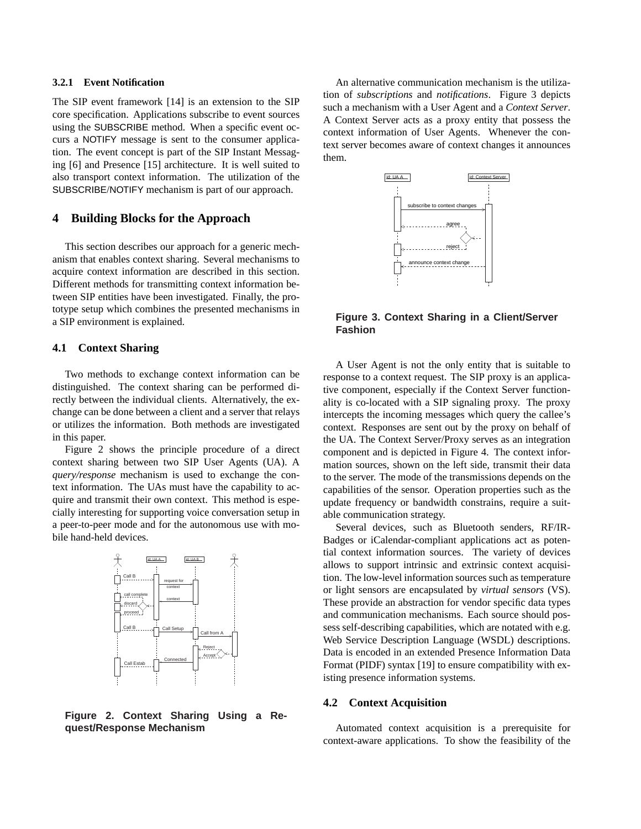#### **3.2.1 Event Notification**

The SIP event framework [14] is an extension to the SIP core specification. Applications subscribe to event sources using the SUBSCRIBE method. When a specific event occurs a NOTIFY message is sent to the consumer application. The event concept is part of the SIP Instant Messaging [6] and Presence [15] architecture. It is well suited to also transport context information. The utilization of the SUBSCRIBE/NOTIFY mechanism is part of our approach.

## **4 Building Blocks for the Approach**

This section describes our approach for a generic mechanism that enables context sharing. Several mechanisms to acquire context information are described in this section. Different methods for transmitting context information between SIP entities have been investigated. Finally, the prototype setup which combines the presented mechanisms in a SIP environment is explained.

### **4.1 Context Sharing**

Two methods to exchange context information can be distinguished. The context sharing can be performed directly between the individual clients. Alternatively, the exchange can be done between a client and a server that relays or utilizes the information. Both methods are investigated in this paper.

Figure 2 shows the principle procedure of a direct context sharing between two SIP User Agents (UA). A *query/response* mechanism is used to exchange the context information. The UAs must have the capability to acquire and transmit their own context. This method is especially interesting for supporting voice conversation setup in a peer-to-peer mode and for the autonomous use with mobile hand-held devices.



**Figure 2. Context Sharing Using a Request/Response Mechanism**

An alternative communication mechanism is the utilization of *subscriptions* and *notifications*. Figure 3 depicts such a mechanism with a User Agent and a *Context Server*. A Context Server acts as a proxy entity that possess the context information of User Agents. Whenever the context server becomes aware of context changes it announces them.



**Figure 3. Context Sharing in a Client/Server Fashion**

A User Agent is not the only entity that is suitable to response to a context request. The SIP proxy is an applicative component, especially if the Context Server functionality is co-located with a SIP signaling proxy. The proxy intercepts the incoming messages which query the callee's context. Responses are sent out by the proxy on behalf of the UA. The Context Server/Proxy serves as an integration component and is depicted in Figure 4. The context information sources, shown on the left side, transmit their data to the server. The mode of the transmissions depends on the capabilities of the sensor. Operation properties such as the update frequency or bandwidth constrains, require a suitable communication strategy.

Several devices, such as Bluetooth senders, RF/IR-Badges or iCalendar-compliant applications act as potential context information sources. The variety of devices allows to support intrinsic and extrinsic context acquisition. The low-level information sources such as temperature or light sensors are encapsulated by *virtual sensors* (VS). These provide an abstraction for vendor specific data types and communication mechanisms. Each source should possess self-describing capabilities, which are notated with e.g. Web Service Description Language (WSDL) descriptions. Data is encoded in an extended Presence Information Data Format (PIDF) syntax [19] to ensure compatibility with existing presence information systems.

### **4.2 Context Acquisition**

Automated context acquisition is a prerequisite for context-aware applications. To show the feasibility of the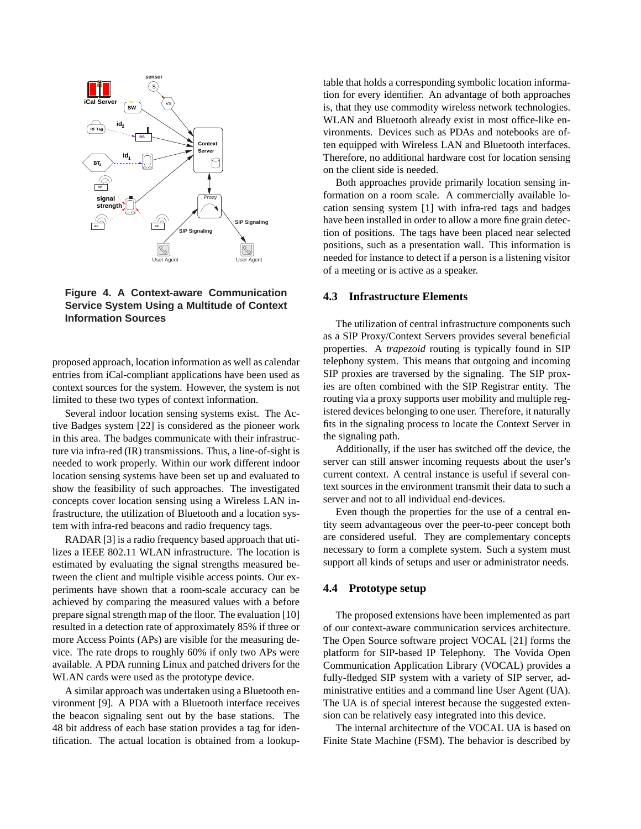

**Figure 4. A Context-aware Communication Service System Using a Multitude of Context Information Sources**

proposed approach, location information as well as calendar entries from iCal-compliant applications have been used as context sources for the system. However, the system is not limited to these two types of context information.

Several indoor location sensing systems exist. The Active Badges system [22] is considered as the pioneer work in this area. The badges communicate with their infrastructure via infra-red (IR) transmissions. Thus, a line-of-sight is needed to work properly. Within our work different indoor location sensing systems have been set up and evaluated to show the feasibility of such approaches. The investigated concepts cover location sensing using a Wireless LAN infrastructure, the utilization of Bluetooth and a location system with infra-red beacons and radio frequency tags.

RADAR [3] is a radio frequency based approach that utilizes a IEEE 802.11 WLAN infrastructure. The location is estimated by evaluating the signal strengths measured between the client and multiple visible access points. Our experiments have shown that a room-scale accuracy can be achieved by comparing the measured values with a before prepare signal strength map of the floor. The evaluation [10] resulted in a detection rate of approximately 85% if three or more Access Points (APs) are visible for the measuring device. The rate drops to roughly 60% if only two APs were available. A PDA running Linux and patched drivers for the WLAN cards were used as the prototype device.

A similar approach was undertaken using a Bluetooth environment [9]. A PDA with a Bluetooth interface receives the beacon signaling sent out by the base stations. The 48 bit address of each base station provides a tag for identification. The actual location is obtained from a lookuptable that holds a corresponding symbolic location information for every identifier. An advantage of both approaches is, that they use commodity wireless network technologies. WLAN and Bluetooth already exist in most office-like environments. Devices such as PDAs and notebooks are often equipped with Wireless LAN and Bluetooth interfaces. Therefore, no additional hardware cost for location sensing on the client side is needed.

Both approaches provide primarily location sensing information on a room scale. A commercially available location sensing system [1] with infra-red tags and badges have been installed in order to allow a more fine grain detection of positions. The tags have been placed near selected positions, such as a presentation wall. This information is needed for instance to detect if a person is a listening visitor of a meeting or is active as a speaker.

#### **4.3 Infrastructure Elements**

The utilization of central infrastructure components such as a SIP Proxy/Context Servers provides several beneficial properties. A *trapezoid* routing is typically found in SIP telephony system. This means that outgoing and incoming SIP proxies are traversed by the signaling. The SIP proxies are often combined with the SIP Registrar entity. The routing via a proxy supports user mobility and multiple registered devices belonging to one user. Therefore, it naturally fits in the signaling process to locate the Context Server in the signaling path.

Additionally, if the user has switched off the device, the server can still answer incoming requests about the user's current context. A central instance is useful if several context sources in the environment transmit their data to such a server and not to all individual end-devices.

Even though the properties for the use of a central entity seem advantageous over the peer-to-peer concept both are considered useful. They are complementary concepts necessary to form a complete system. Such a system must support all kinds of setups and user or administrator needs.

### **4.4 Prototype setup**

The proposed extensions have been implemented as part of our context-aware communication services architecture. The Open Source software project VOCAL [21] forms the platform for SIP-based IP Telephony. The Vovida Open Communication Application Library (VOCAL) provides a fully-fledged SIP system with a variety of SIP server, administrative entities and a command line User Agent (UA). The UA is of special interest because the suggested extension can be relatively easy integrated into this device.

The internal architecture of the VOCAL UA is based on Finite State Machine (FSM). The behavior is described by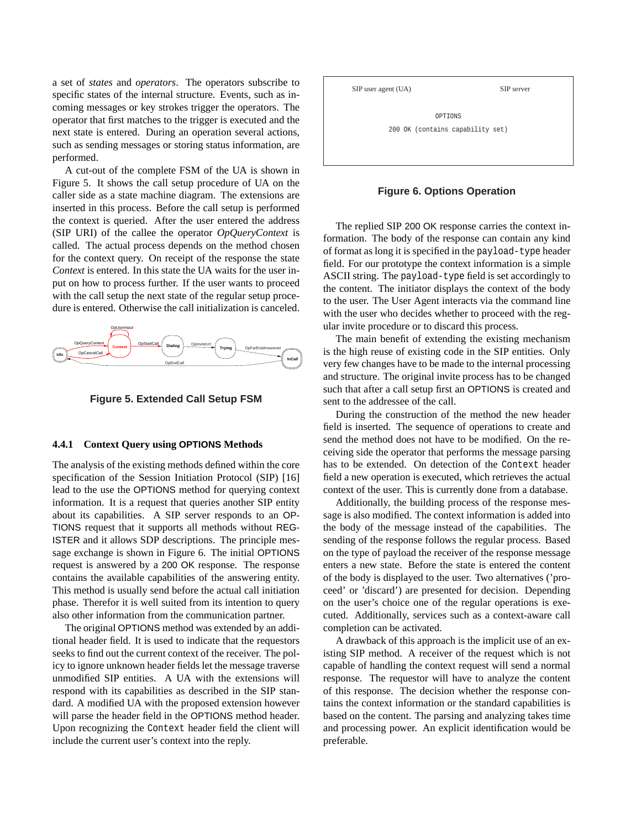a set of *states* and *operators*. The operators subscribe to specific states of the internal structure. Events, such as incoming messages or key strokes trigger the operators. The operator that first matches to the trigger is executed and the next state is entered. During an operation several actions, such as sending messages or storing status information, are performed.

A cut-out of the complete FSM of the UA is shown in Figure 5. It shows the call setup procedure of UA on the caller side as a state machine diagram. The extensions are inserted in this process. Before the call setup is performed the context is queried. After the user entered the address (SIP URI) of the callee the operator *OpQueryContext* is called. The actual process depends on the method chosen for the context query. On receipt of the response the state *Context* is entered. In this state the UA waits for the user input on how to process further. If the user wants to proceed with the call setup the next state of the regular setup procedure is entered. Otherwise the call initialization is canceled.





#### **4.4.1 Context Query using OPTIONS Methods**

The analysis of the existing methods defined within the core specification of the Session Initiation Protocol (SIP) [16] lead to the use the OPTIONS method for querying context information. It is a request that queries another SIP entity about its capabilities. A SIP server responds to an OP-TIONS request that it supports all methods without REG-ISTER and it allows SDP descriptions. The principle message exchange is shown in Figure 6. The initial OPTIONS request is answered by a 200 OK response. The response contains the available capabilities of the answering entity. This method is usually send before the actual call initiation phase. Therefor it is well suited from its intention to query also other information from the communication partner.

The original OPTIONS method was extended by an additional header field. It is used to indicate that the requestors seeks to find out the current context of the receiver. The policy to ignore unknown header fields let the message traverse unmodified SIP entities. A UA with the extensions will respond with its capabilities as described in the SIP standard. A modified UA with the proposed extension however will parse the header field in the OPTIONS method header. Upon recognizing the Context header field the client will include the current user's context into the reply.



#### **Figure 6. Options Operation**

The replied SIP 200 OK response carries the context information. The body of the response can contain any kind of format as long it is specified in the payload-type header field. For our prototype the context information is a simple ASCII string. The payload-type field is set accordingly to the content. The initiator displays the context of the body to the user. The User Agent interacts via the command line with the user who decides whether to proceed with the regular invite procedure or to discard this process.

The main benefit of extending the existing mechanism is the high reuse of existing code in the SIP entities. Only very few changes have to be made to the internal processing and structure. The original invite process has to be changed such that after a call setup first an OPTIONS is created and sent to the addressee of the call.

During the construction of the method the new header field is inserted. The sequence of operations to create and send the method does not have to be modified. On the receiving side the operator that performs the message parsing has to be extended. On detection of the Context header field a new operation is executed, which retrieves the actual context of the user. This is currently done from a database.

Additionally, the building process of the response message is also modified. The context information is added into the body of the message instead of the capabilities. The sending of the response follows the regular process. Based on the type of payload the receiver of the response message enters a new state. Before the state is entered the content of the body is displayed to the user. Two alternatives ('proceed' or 'discard') are presented for decision. Depending on the user's choice one of the regular operations is executed. Additionally, services such as a context-aware call completion can be activated.

A drawback of this approach is the implicit use of an existing SIP method. A receiver of the request which is not capable of handling the context request will send a normal response. The requestor will have to analyze the content of this response. The decision whether the response contains the context information or the standard capabilities is based on the content. The parsing and analyzing takes time and processing power. An explicit identification would be preferable.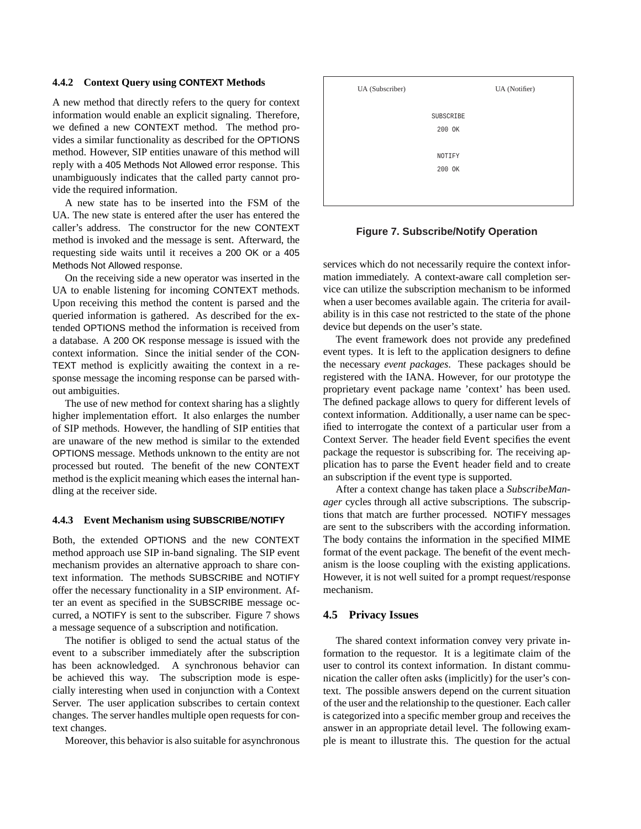#### **4.4.2 Context Query using CONTEXT Methods**

A new method that directly refers to the query for context information would enable an explicit signaling. Therefore, we defined a new CONTEXT method. The method provides a similar functionality as described for the OPTIONS method. However, SIP entities unaware of this method will reply with a 405 Methods Not Allowed error response. This unambiguously indicates that the called party cannot provide the required information.

A new state has to be inserted into the FSM of the UA. The new state is entered after the user has entered the caller's address. The constructor for the new CONTEXT method is invoked and the message is sent. Afterward, the requesting side waits until it receives a 200 OK or a 405 Methods Not Allowed response.

On the receiving side a new operator was inserted in the UA to enable listening for incoming CONTEXT methods. Upon receiving this method the content is parsed and the queried information is gathered. As described for the extended OPTIONS method the information is received from a database. A 200 OK response message is issued with the context information. Since the initial sender of the CON-TEXT method is explicitly awaiting the context in a response message the incoming response can be parsed without ambiguities.

The use of new method for context sharing has a slightly higher implementation effort. It also enlarges the number of SIP methods. However, the handling of SIP entities that are unaware of the new method is similar to the extended OPTIONS message. Methods unknown to the entity are not processed but routed. The benefit of the new CONTEXT method is the explicit meaning which eases the internal handling at the receiver side.

#### **4.4.3 Event Mechanism using SUBSCRIBE/NOTIFY**

Both, the extended OPTIONS and the new CONTEXT method approach use SIP in-band signaling. The SIP event mechanism provides an alternative approach to share context information. The methods SUBSCRIBE and NOTIFY offer the necessary functionality in a SIP environment. After an event as specified in the SUBSCRIBE message occurred, a NOTIFY is sent to the subscriber. Figure 7 shows a message sequence of a subscription and notification.

The notifier is obliged to send the actual status of the event to a subscriber immediately after the subscription has been acknowledged. A synchronous behavior can be achieved this way. The subscription mode is especially interesting when used in conjunction with a Context Server. The user application subscribes to certain context changes. The server handles multiple open requests for context changes.

Moreover, this behavior is also suitable for asynchronous



#### **Figure 7. Subscribe/Notify Operation**

services which do not necessarily require the context information immediately. A context-aware call completion service can utilize the subscription mechanism to be informed when a user becomes available again. The criteria for availability is in this case not restricted to the state of the phone device but depends on the user's state.

The event framework does not provide any predefined event types. It is left to the application designers to define the necessary *event packages*. These packages should be registered with the IANA. However, for our prototype the proprietary event package name 'context' has been used. The defined package allows to query for different levels of context information. Additionally, a user name can be specified to interrogate the context of a particular user from a Context Server. The header field Event specifies the event package the requestor is subscribing for. The receiving application has to parse the Event header field and to create an subscription if the event type is supported.

After a context change has taken place a *SubscribeManager* cycles through all active subscriptions. The subscriptions that match are further processed. NOTIFY messages are sent to the subscribers with the according information. The body contains the information in the specified MIME format of the event package. The benefit of the event mechanism is the loose coupling with the existing applications. However, it is not well suited for a prompt request/response mechanism.

### **4.5 Privacy Issues**

The shared context information convey very private information to the requestor. It is a legitimate claim of the user to control its context information. In distant communication the caller often asks (implicitly) for the user's context. The possible answers depend on the current situation of the user and the relationship to the questioner. Each caller is categorized into a specific member group and receives the answer in an appropriate detail level. The following example is meant to illustrate this. The question for the actual